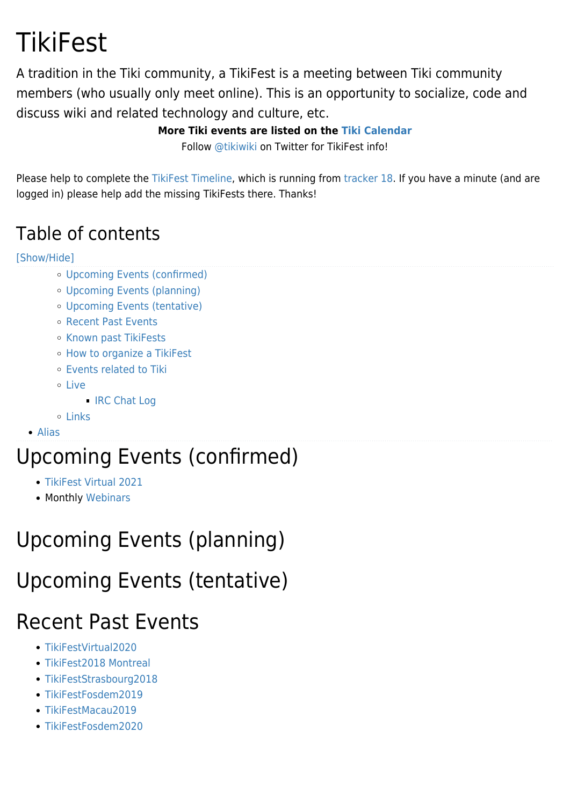# **TikiFest**

A tradition in the Tiki community, a TikiFest is a meeting between Tiki community members (who usually only meet online). This is an opportunity to socialize, code and discuss wiki and related technology and culture, etc.

#### **More Tiki events are listed on the [Tiki Calendar](http://info.tiki.org/tiki-calendar.php)**

Follow [@tikiwiki](http://twitter.com/tikiwiki) on Twitter for TikiFest info!

Please help to complete the [TikiFest Timeline](https://translation.tiki.org/TikiFest-Timeline), which is running from [tracker 18](https://translation.tiki.org/tiki-view_tracker.php?trackerId=18). If you have a minute (and are logged in) please help add the missing TikiFests there. Thanks!

#### Table of contents

#### [\[Show/Hide\]](#page--1-0)

- [Upcoming Events \(confirmed\)](#page--1-0)
- [Upcoming Events \(planning\)](#page--1-0)
- [Upcoming Events \(tentative\)](#page--1-0)
- [Recent Past Events](#page--1-0)
- [Known past TikiFests](#page--1-0)
- [How to organize a TikiFest](#page--1-0)
- [Events related to Tiki](#page--1-0)
- o [Live](#page--1-0)
	- **[IRC Chat Log](#page--1-0)**
- $0$  [Links](#page--1-0)

#### [Alias](#page--1-0)

## Upcoming Events (confirmed)

- [TikiFest Virtual 2021](https://translation.tiki.org/TikiFest-Virtual-2021)
- Monthly [Webinars](https://translation.tiki.org/Roundtable-Meetings)

## Upcoming Events (planning)

### Upcoming Events (tentative)

## Recent Past Events

- [TikiFestVirtual2020](https://translation.tiki.org/TikiFestVirtual2020)
- [TikiFest2018 Montreal](https://translation.tiki.org/TikiFest2018-Montreal)
- [TikiFestStrasbourg2018](https://translation.tiki.org/TikiFestStrasbourg2018)
- [TikiFestFosdem2019](https://translation.tiki.org/TikiFestFosdem2019)
- [TikiFestMacau2019](https://translation.tiki.org/TikiFestMacau2019)
- [TikiFestFosdem2020](https://translation.tiki.org/TikiFestFosdem2020)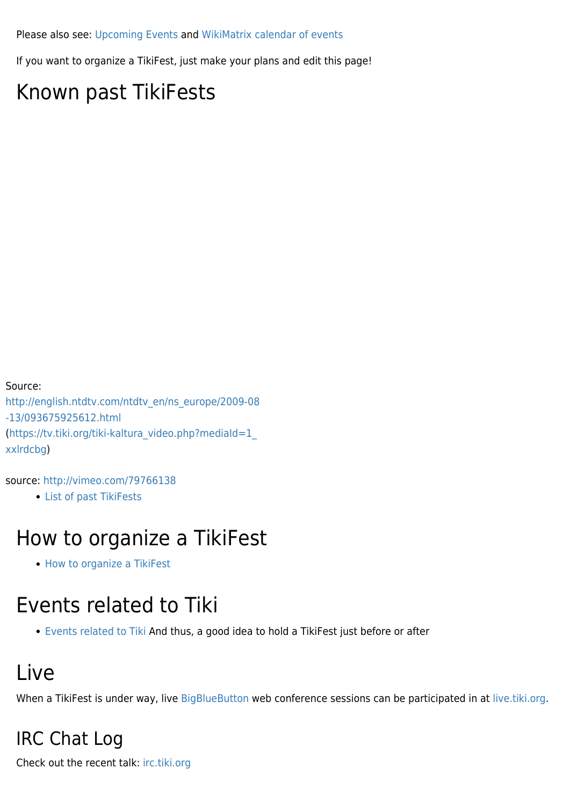Please also see: [Upcoming Events](http://dev.tiki.org/Upcoming%20Events) and [WikiMatrix calendar of events](http://www.wikimatrix.org/calendar.php)

If you want to organize a TikiFest, just make your plans and edit this page!

### Known past TikiFests

Source: [http://english.ntdtv.com/ntdtv\\_en/ns\\_europe/2009-08](http://english.ntdtv.com/ntdtv_en/ns_europe/2009-08-13/093675925612.html) [-13/093675925612.html](http://english.ntdtv.com/ntdtv_en/ns_europe/2009-08-13/093675925612.html) ([https://tv.tiki.org/tiki-kaltura\\_video.php?mediaId=1\\_](https://tv.tiki.org/tiki-kaltura_video.php?mediaId=1_xxlrdcbg) [xxlrdcbg\)](https://tv.tiki.org/tiki-kaltura_video.php?mediaId=1_xxlrdcbg)

source:<http://vimeo.com/79766138>

[List of past TikiFests](https://translation.tiki.org/List-of-past-TikiFests)

#### How to organize a TikiFest

• [How to organize a TikiFest](https://translation.tiki.org/How-to-organize-a-TikiFest)

#### Events related to Tiki

[Events related to Tiki](https://translation.tiki.org/Events-related-to-Tiki) And thus, a good idea to hold a TikiFest just before or after

### Live

When a TikiFest is under way, live [BigBlueButton](https://bigbluebutton.org/) web conference sessions can be participated in at [live.tiki.org](http://live.tiki.org).

#### IRC Chat Log

Check out the recent talk: [irc.tiki.org](http://irc.tiki.org)